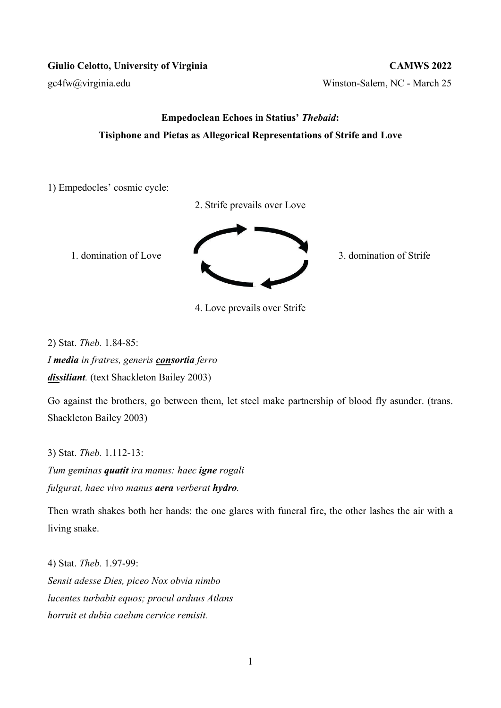gc4fw@virginia.edu Winston-Salem, NC - March 25

## Empedoclean Echoes in Statius' Thebaid: Tisiphone and Pietas as Allegorical Representations of Strife and Love

1) Empedocles' cosmic cycle:

2. Strife prevails over Love



4. Love prevails over Strife

2) Stat. Theb. 1.84-85:

I media in fratres, generis consortia ferro dissiliant. (text Shackleton Bailey 2003)

Go against the brothers, go between them, let steel make partnership of blood fly asunder. (trans. Shackleton Bailey 2003)

3) Stat. Theb. 1.112-13:

Tum geminas quatit ira manus: haec igne rogali fulgurat, haec vivo manus **aera** verberat **hydro**.

Then wrath shakes both her hands: the one glares with funeral fire, the other lashes the air with a living snake.

4) Stat. Theb. 1.97-99: Sensit adesse Dies, piceo Nox obvia nimbo lucentes turbabit equos; procul arduus Atlans horruit et dubia caelum cervice remisit.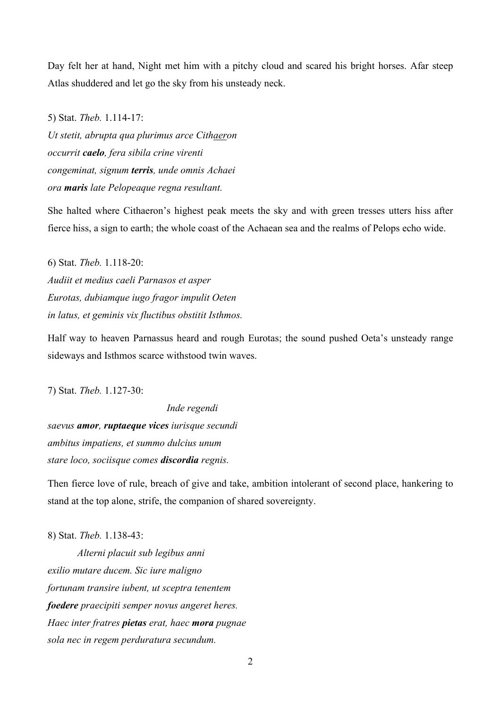Day felt her at hand, Night met him with a pitchy cloud and scared his bright horses. Afar steep Atlas shuddered and let go the sky from his unsteady neck.

5) Stat. Theb. 1.114-17: Ut stetit, abrupta qua plurimus arce Cithaeron occurrit caelo, fera sibila crine virenti congeminat, signum terris, unde omnis Achaei ora maris late Pelopeaque regna resultant.

She halted where Cithaeron's highest peak meets the sky and with green tresses utters hiss after fierce hiss, a sign to earth; the whole coast of the Achaean sea and the realms of Pelops echo wide.

6) Stat. Theb. 1.118-20: Audiit et medius caeli Parnasos et asper Eurotas, dubiamque iugo fragor impulit Oeten in latus, et geminis vix fluctibus obstitit Isthmos.

Half way to heaven Parnassus heard and rough Eurotas; the sound pushed Oeta's unsteady range sideways and Isthmos scarce withstood twin waves.

7) Stat. Theb. 1.127-30:

Inde regendi saevus amor, ruptaeque vices iurisque secundi ambitus impatiens, et summo dulcius unum stare loco, sociisque comes discordia regnis.

Then fierce love of rule, breach of give and take, ambition intolerant of second place, hankering to stand at the top alone, strife, the companion of shared sovereignty.

8) Stat. Theb. 1.138-43:

Alterni placuit sub legibus anni exilio mutare ducem. Sic iure maligno fortunam transire iubent, ut sceptra tenentem foedere praecipiti semper novus angeret heres. Haec inter fratres **pietas** erat, haec **mora** pugnae sola nec in regem perduratura secundum.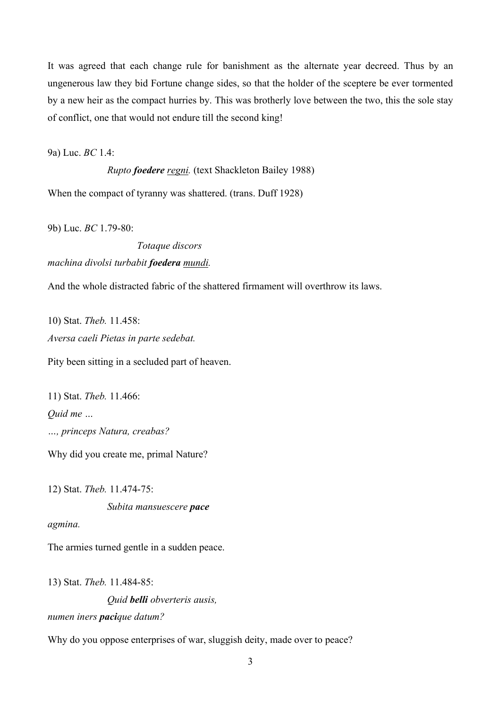It was agreed that each change rule for banishment as the alternate year decreed. Thus by an ungenerous law they bid Fortune change sides, so that the holder of the sceptere be ever tormented by a new heir as the compact hurries by. This was brotherly love between the two, this the sole stay of conflict, one that would not endure till the second king!

9a) Luc. BC 1.4:

Rupto foedere regni. (text Shackleton Bailey 1988)

When the compact of tyranny was shattered. (trans. Duff 1928)

9b) Luc. BC 1.79-80:

 Totaque discors machina divolsi turbabit foedera mundi.

And the whole distracted fabric of the shattered firmament will overthrow its laws.

10) Stat. Theb. 11.458: Aversa caeli Pietas in parte sedebat.

Pity been sitting in a secluded part of heaven.

11) Stat. Theb. 11.466: Quid me … …, princeps Natura, creabas?

Why did you create me, primal Nature?

12) Stat. Theb. 11.474-75:

Subita mansuescere pace

agmina.

The armies turned gentle in a sudden peace.

13) Stat. Theb. 11.484-85:

Quid belli obverteris ausis, numen iners pacique datum?

Why do you oppose enterprises of war, sluggish deity, made over to peace?